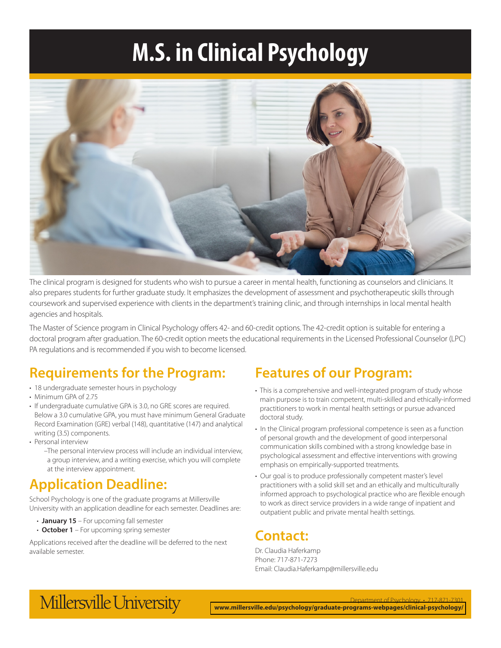# **M.S. in Clinical Psychology**



The clinical program is designed for students who wish to pursue a career in mental health, functioning as counselors and clinicians. It also prepares students for further graduate study. It emphasizes the development of assessment and psychotherapeutic skills through coursework and supervised experience with clients in the department's training clinic, and through internships in local mental health agencies and hospitals.

The Master of Science program in Clinical Psychology offers 42- and 60-credit options. The 42-credit option is suitable for entering a doctoral program after graduation. The 60-credit option meets the educational requirements in the Licensed Professional Counselor (LPC) PA regulations and is recommended if you wish to become licensed.

## **Requirements for the Program:**

- 18 undergraduate semester hours in psychology
- Minimum GPA of 2.75
- If undergraduate cumulative GPA is 3.0, no GRE scores are required. Below a 3.0 cumulative GPA, you must have minimum General Graduate Record Examination (GRE) verbal (148), quantitative (147) and analytical writing (3.5) components.
- Personal interview
	- –The personal interview process will include an individual interview, a group interview, and a writing exercise, which you will complete at the interview appointment.

## **Application Deadline:**

School Psychology is one of the graduate programs at Millersville University with an application deadline for each semester. Deadlines are:

- **January 15** For upcoming fall semester
- **October 1** For upcoming spring semester

Applications received after the deadline will be deferred to the next available semester.

## **Features of our Program:**

- This is a comprehensive and well-integrated program of study whose main purpose is to train competent, multi-skilled and ethically-informed practitioners to work in mental health settings or pursue advanced doctoral study.
- In the Clinical program professional competence is seen as a function of personal growth and the development of good interpersonal communication skills combined with a strong knowledge base in psychological assessment and effective interventions with growing emphasis on empirically-supported treatments.
- Our goal is to produce professionally competent master's level practitioners with a solid skill set and an ethically and multiculturally informed approach to psychological practice who are flexible enough to work as direct service providers in a wide range of inpatient and outpatient public and private mental health settings.

## **Contact:**

Dr. Claudia Haferkamp Phone: 717-871-7273 Email: Claudia.Haferkamp@millersville.edu

## Millersville University

Department of Psychology • 717-871-7301 **[www.millersville.edu/psychology/graduate-programs-webpages/clinical-psychology/](http://www.millersville.edu/psychology/graduate-programs-webpages/clinical-psychology/index.php)**